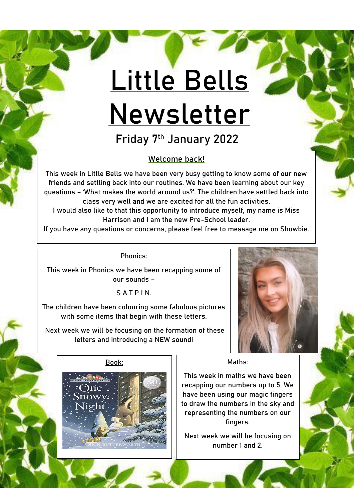# **Little Bells Newsletter**

**Friday 7th January 2022**

# Welcome back!

This week in Little Bells we have been very busy getting to know some of our new friends and settling back into our routines. We have been learning about our key questions – 'What makes the world around us?'. The children have settled back into class very well and we are excited for all the fun activities.

I would also like to that this opportunity to introduce myself, my name is Miss Harrison and I am the new Pre-School leader.

If you have any questions or concerns, please feel free to message me on Showbie.

## Phonics:

This week in Phonics we have been recapping some of our sounds –

S A T P I N.

The children have been colouring some fabulous pictures with some items that begin with these letters.

Next week we will be focusing on the formation of these letters and introducing a NEW sound!



### **Book:**



### Maths:

This week in maths we have been recapping our numbers up to 5. We have been using our magic fingers to draw the numbers in the sky and representing the numbers on our fingers.

Next week we will be focusing on number 1 and 2.